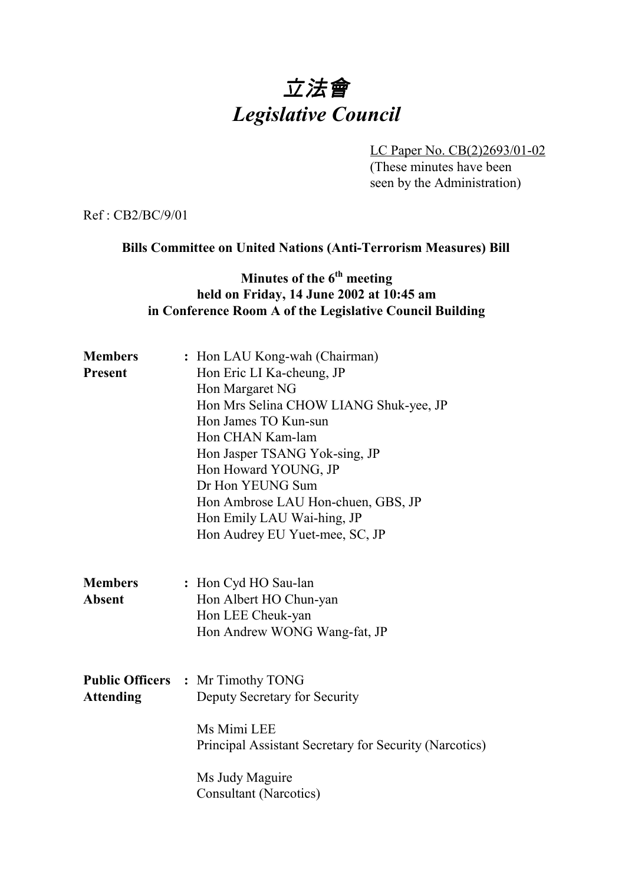# 立法會 *Legislative Council*

LC Paper No. CB(2)2693/01-02 (These minutes have been seen by the Administration)

Ref : CB2/BC/9/01

#### **Bills Committee on United Nations (Anti-Terrorism Measures) Bill**

## **Minutes of the 6<sup>th</sup> meeting held on Friday, 14 June 2002 at 10:45 am in Conference Room A of the Legislative Council Building**

| <b>Members</b>   | : Hon LAU Kong-wah (Chairman)                          |
|------------------|--------------------------------------------------------|
| <b>Present</b>   | Hon Eric LI Ka-cheung, JP                              |
|                  | Hon Margaret NG                                        |
|                  | Hon Mrs Selina CHOW LIANG Shuk-yee, JP                 |
|                  | Hon James TO Kun-sun                                   |
|                  | Hon CHAN Kam-lam                                       |
|                  | Hon Jasper TSANG Yok-sing, JP                          |
|                  | Hon Howard YOUNG, JP                                   |
|                  | Dr Hon YEUNG Sum                                       |
|                  | Hon Ambrose LAU Hon-chuen, GBS, JP                     |
|                  | Hon Emily LAU Wai-hing, JP                             |
|                  | Hon Audrey EU Yuet-mee, SC, JP                         |
| <b>Members</b>   | : Hon Cyd HO Sau-lan                                   |
| <b>Absent</b>    | Hon Albert HO Chun-yan                                 |
|                  | Hon LEE Cheuk-yan                                      |
|                  | Hon Andrew WONG Wang-fat, JP                           |
|                  |                                                        |
|                  | <b>Public Officers : Mr Timothy TONG</b>               |
| <b>Attending</b> | Deputy Secretary for Security                          |
|                  | Ms Mimi LEE                                            |
|                  | Principal Assistant Secretary for Security (Narcotics) |
|                  | Ms Judy Maguire                                        |
|                  | <b>Consultant (Narcotics)</b>                          |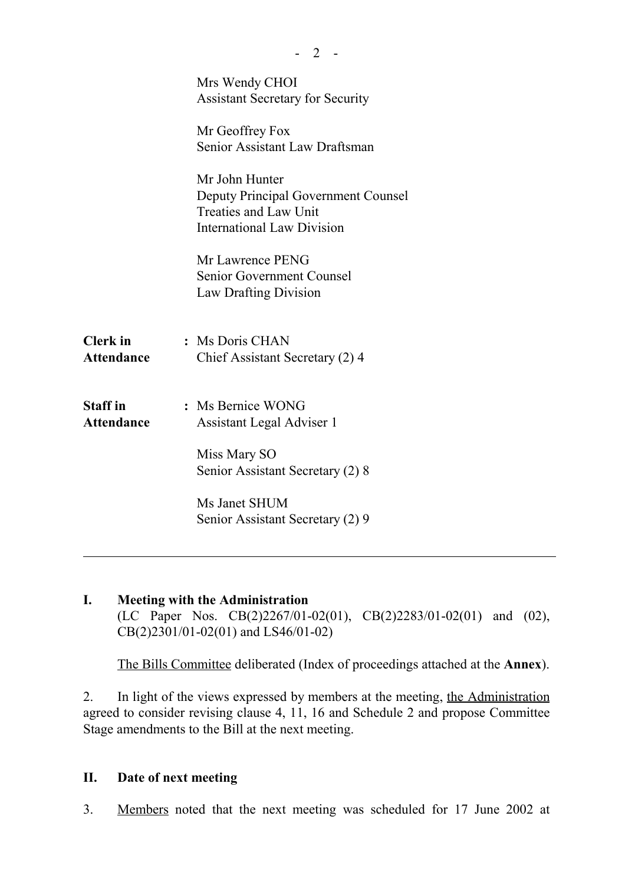|                                      | Mrs Wendy CHOI<br><b>Assistant Secretary for Security</b>                                                                         |
|--------------------------------------|-----------------------------------------------------------------------------------------------------------------------------------|
|                                      | Mr Geoffrey Fox<br>Senior Assistant Law Draftsman                                                                                 |
|                                      | Mr John Hunter<br><b>Deputy Principal Government Counsel</b><br><b>Treaties and Law Unit</b><br><b>International Law Division</b> |
|                                      | Mr Lawrence PENG<br>Senior Government Counsel<br>Law Drafting Division                                                            |
| <b>Clerk</b> in<br>Attendance        | : Ms Doris CHAN<br>Chief Assistant Secretary (2) 4                                                                                |
| <b>Staff</b> in<br><b>Attendance</b> | : Ms Bernice WONG<br>Assistant Legal Adviser 1                                                                                    |
|                                      | Miss Mary SO<br>Senior Assistant Secretary (2) 8                                                                                  |
|                                      | Ms Janet SHUM<br>Senior Assistant Secretary (2) 9                                                                                 |
|                                      |                                                                                                                                   |

 $-2 -$ 

**I. Meeting with the Administration** (LC Paper Nos. CB(2)2267/01-02(01), CB(2)2283/01-02(01) and (02), CB(2)2301/01-02(01) and LS46/01-02)

The Bills Committee deliberated (Index of proceedings attached at the **Annex**).

2. In light of the views expressed by members at the meeting, the Administration agreed to consider revising clause 4, 11, 16 and Schedule 2 and propose Committee Stage amendments to the Bill at the next meeting.

## **II. Date of next meeting**

3. Members noted that the next meeting was scheduled for 17 June 2002 at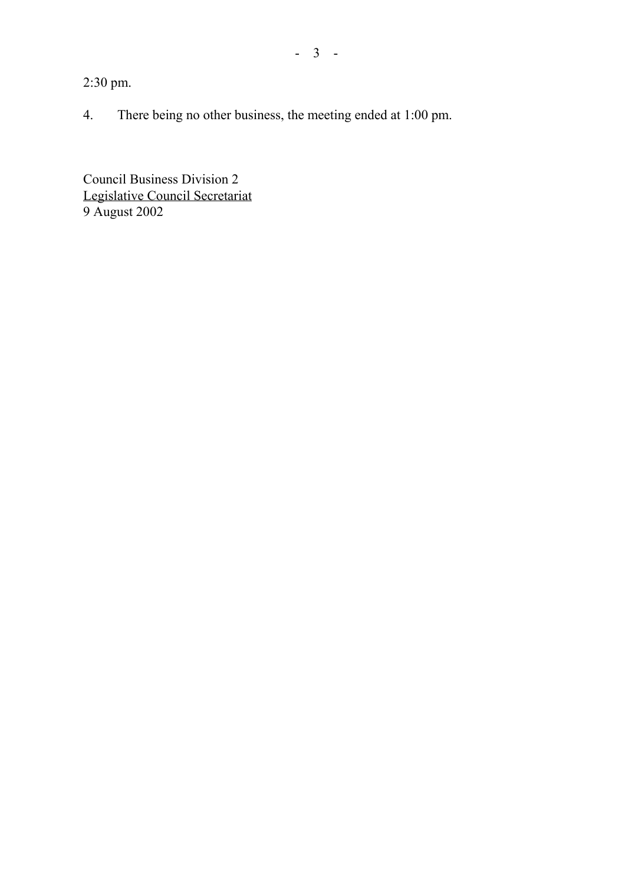2:30 pm.

4. There being no other business, the meeting ended at 1:00 pm.

Council Business Division 2 Legislative Council Secretariat 9 August 2002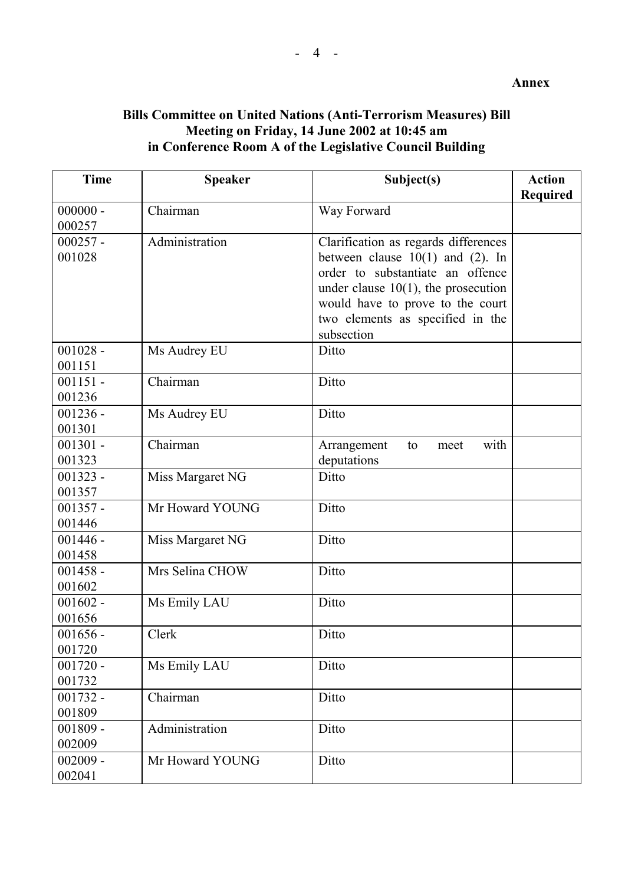### **Bills Committee on United Nations (Anti-Terrorism Measures) Bill Meeting on Friday, 14 June 2002 at 10:45 am in Conference Room A of the Legislative Council Building**

| <b>Time</b>          | <b>Speaker</b>   | Subject(s)                               | <b>Action</b><br><b>Required</b> |
|----------------------|------------------|------------------------------------------|----------------------------------|
| $000000 -$           | Chairman         | Way Forward                              |                                  |
| 000257               |                  |                                          |                                  |
| $000257 -$           | Administration   | Clarification as regards differences     |                                  |
| 001028               |                  | between clause $10(1)$ and (2). In       |                                  |
|                      |                  | order to substantiate an offence         |                                  |
|                      |                  | under clause $10(1)$ , the prosecution   |                                  |
|                      |                  | would have to prove to the court         |                                  |
|                      |                  | two elements as specified in the         |                                  |
|                      |                  | subsection                               |                                  |
| $001028 -$           | Ms Audrey EU     | Ditto                                    |                                  |
| 001151               |                  |                                          |                                  |
| $001151 -$           | Chairman         | Ditto                                    |                                  |
| 001236               |                  |                                          |                                  |
| $001236 -$<br>001301 | Ms Audrey EU     | Ditto                                    |                                  |
| $001301 -$           | Chairman         | with                                     |                                  |
| 001323               |                  | Arrangement<br>to<br>meet<br>deputations |                                  |
| $001323 -$           | Miss Margaret NG | Ditto                                    |                                  |
| 001357               |                  |                                          |                                  |
| $001357 -$           | Mr Howard YOUNG  | Ditto                                    |                                  |
| 001446               |                  |                                          |                                  |
| $001446 -$           | Miss Margaret NG | Ditto                                    |                                  |
| 001458               |                  |                                          |                                  |
| $001458 -$           | Mrs Selina CHOW  | Ditto                                    |                                  |
| 001602               |                  |                                          |                                  |
| $001602 -$           | Ms Emily LAU     | Ditto                                    |                                  |
| 001656               |                  |                                          |                                  |
| $001656 -$           | Clerk            | Ditto                                    |                                  |
| 001720               |                  |                                          |                                  |
| $001720 -$           | Ms Emily LAU     | Ditto                                    |                                  |
| 001732               |                  |                                          |                                  |
| $001732 -$           | Chairman         | Ditto                                    |                                  |
| 001809               |                  |                                          |                                  |
| $001809 -$           | Administration   | Ditto                                    |                                  |
| 002009               |                  |                                          |                                  |
| $002009 -$           | Mr Howard YOUNG  | Ditto                                    |                                  |
| 002041               |                  |                                          |                                  |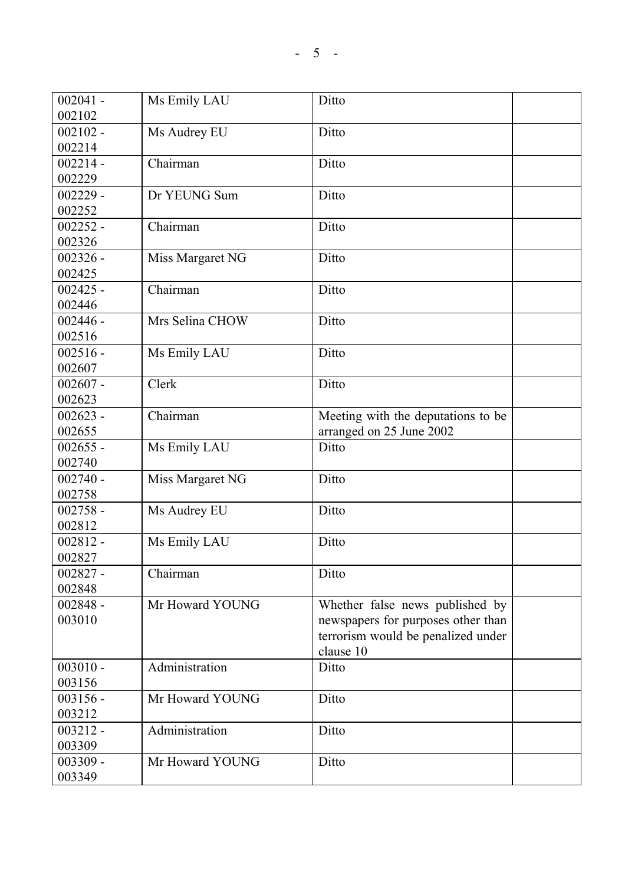| $002041 -$ | Ms Emily LAU           | Ditto                              |  |
|------------|------------------------|------------------------------------|--|
| 002102     |                        |                                    |  |
| $002102 -$ | Ms Audrey EU           | Ditto                              |  |
| 002214     |                        |                                    |  |
| $002214 -$ | Chairman               | Ditto                              |  |
| 002229     |                        |                                    |  |
| $002229 -$ | Dr YEUNG Sum           | Ditto                              |  |
| 002252     |                        |                                    |  |
| $002252 -$ | Chairman               | Ditto                              |  |
| 002326     |                        |                                    |  |
| $002326 -$ | Miss Margaret NG       | Ditto                              |  |
| 002425     |                        |                                    |  |
| $002425 -$ | $\overline{C}$ hairman | Ditto                              |  |
| 002446     |                        |                                    |  |
| $002446 -$ | Mrs Selina CHOW        | Ditto                              |  |
| 002516     |                        |                                    |  |
| $002516 -$ | Ms Emily LAU           | Ditto                              |  |
| 002607     |                        |                                    |  |
| $002607 -$ | Clerk                  | Ditto                              |  |
| 002623     |                        |                                    |  |
| $002623 -$ | Chairman               | Meeting with the deputations to be |  |
| 002655     |                        | arranged on 25 June 2002           |  |
| $002655 -$ | Ms Emily LAU           | Ditto                              |  |
| 002740     |                        |                                    |  |
| $002740 -$ | Miss Margaret NG       | Ditto                              |  |
| 002758     |                        |                                    |  |
| $002758 -$ | Ms Audrey EU           | Ditto                              |  |
| 002812     |                        |                                    |  |
| $002812 -$ | Ms Emily LAU           | Ditto                              |  |
| 002827     |                        |                                    |  |
| $002827 -$ | Chairman               | Ditto                              |  |
| 002848     |                        |                                    |  |
| $002848 -$ | Mr Howard YOUNG        | Whether false news published by    |  |
| 003010     |                        | newspapers for purposes other than |  |
|            |                        | terrorism would be penalized under |  |
|            |                        | clause 10                          |  |
| $003010 -$ | Administration         | Ditto                              |  |
| 003156     |                        |                                    |  |
| $003156 -$ | Mr Howard YOUNG        | Ditto                              |  |
| 003212     |                        |                                    |  |
| $003212 -$ | Administration         | Ditto                              |  |
| 003309     |                        |                                    |  |
| $003309 -$ | Mr Howard YOUNG        | Ditto                              |  |
| 003349     |                        |                                    |  |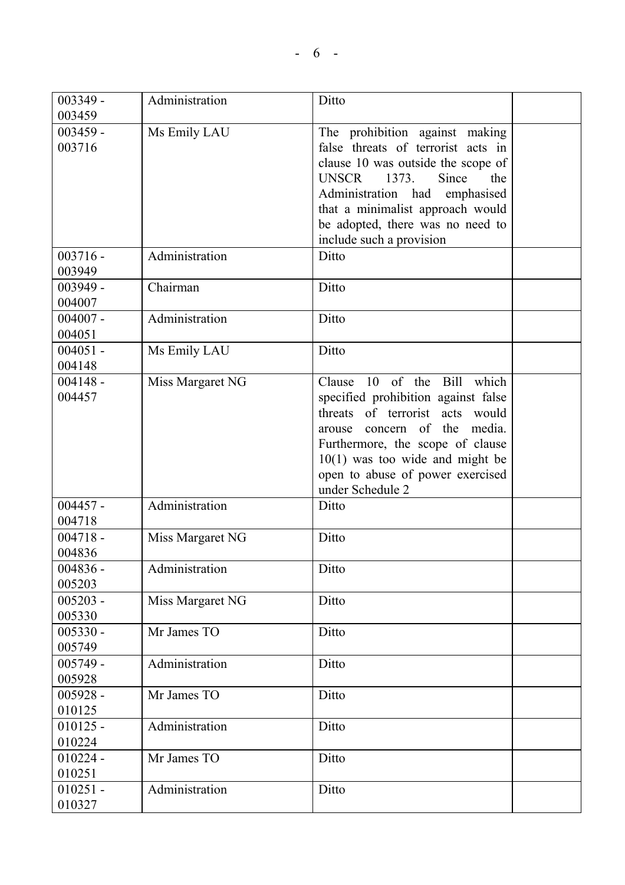| $003349 -$           | Administration   | Ditto                                 |  |
|----------------------|------------------|---------------------------------------|--|
| 003459               |                  |                                       |  |
| $003459 -$           | Ms Emily LAU     | The prohibition against making        |  |
| 003716               |                  | false threats of terrorist acts in    |  |
|                      |                  | clause 10 was outside the scope of    |  |
|                      |                  | <b>UNSCR</b><br>1373.<br>Since<br>the |  |
|                      |                  | Administration had emphasised         |  |
|                      |                  | that a minimalist approach would      |  |
|                      |                  | be adopted, there was no need to      |  |
|                      |                  | include such a provision              |  |
| $003716 -$           | Administration   | Ditto                                 |  |
| 003949               |                  |                                       |  |
| $003949 -$           | Chairman         | Ditto                                 |  |
| 004007               |                  |                                       |  |
| $004007 -$<br>004051 | Administration   | Ditto                                 |  |
| $004051 -$           | Ms Emily LAU     | Ditto                                 |  |
| 004148               |                  |                                       |  |
| $004148 -$           | Miss Margaret NG | 10 of the Bill<br>which<br>Clause     |  |
| 004457               |                  | specified prohibition against false   |  |
|                      |                  | threats of terrorist acts would       |  |
|                      |                  | concern of the media.<br>arouse       |  |
|                      |                  | Furthermore, the scope of clause      |  |
|                      |                  | $10(1)$ was too wide and might be     |  |
|                      |                  | open to abuse of power exercised      |  |
|                      |                  | under Schedule 2                      |  |
| $004457 -$           | Administration   | Ditto                                 |  |
| 004718               |                  |                                       |  |
| $004718 -$           | Miss Margaret NG | Ditto                                 |  |
| 004836               |                  |                                       |  |
| $004836 -$           | Administration   | Ditto                                 |  |
| 005203               |                  |                                       |  |
| $005203 -$           | Miss Margaret NG | Ditto                                 |  |
| 005330               |                  |                                       |  |
| $005330 -$           | Mr James TO      | Ditto                                 |  |
| 005749               |                  |                                       |  |
| $005749 -$           | Administration   | Ditto                                 |  |
| 005928               |                  |                                       |  |
| $005928 -$           | Mr James TO      | Ditto                                 |  |
| 010125               |                  |                                       |  |
| $010125 -$           | Administration   | Ditto                                 |  |
| 010224               |                  |                                       |  |
| $010224 -$           | Mr James TO      | Ditto                                 |  |
| 010251               |                  |                                       |  |
| $010251 -$           | Administration   | Ditto                                 |  |
| 010327               |                  |                                       |  |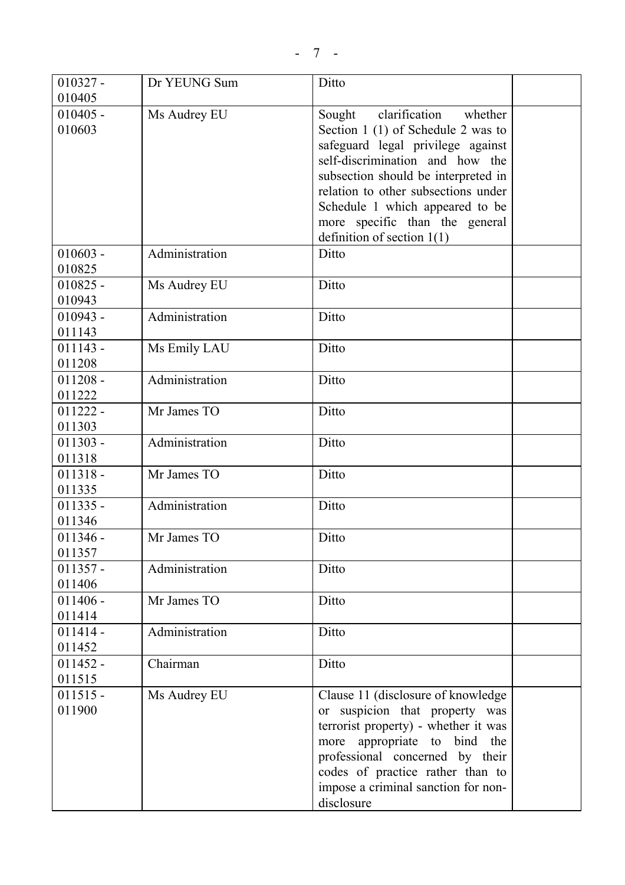| $010327 -$ | Dr YEUNG Sum   | Ditto                                |  |
|------------|----------------|--------------------------------------|--|
| 010405     |                |                                      |  |
| $010405 -$ | Ms Audrey EU   | clarification<br>whether<br>Sought   |  |
| 010603     |                | Section 1 (1) of Schedule 2 was to   |  |
|            |                | safeguard legal privilege against    |  |
|            |                | self-discrimination and how the      |  |
|            |                | subsection should be interpreted in  |  |
|            |                | relation to other subsections under  |  |
|            |                | Schedule 1 which appeared to be      |  |
|            |                | more specific than the general       |  |
|            |                | definition of section $1(1)$         |  |
| $010603 -$ | Administration | Ditto                                |  |
| 010825     |                |                                      |  |
| $010825 -$ | Ms Audrey EU   | Ditto                                |  |
| 010943     |                |                                      |  |
| $010943 -$ | Administration | Ditto                                |  |
| 011143     |                |                                      |  |
| $011143 -$ | Ms Emily LAU   | Ditto                                |  |
| 011208     |                |                                      |  |
| $011208 -$ | Administration | Ditto                                |  |
| 011222     |                |                                      |  |
| $011222 -$ | Mr James TO    | Ditto                                |  |
| 011303     |                |                                      |  |
| $011303 -$ | Administration | Ditto                                |  |
| 011318     |                |                                      |  |
| $011318 -$ | Mr James TO    | Ditto                                |  |
| 011335     |                |                                      |  |
| $011335 -$ | Administration | Ditto                                |  |
| 011346     |                |                                      |  |
| $011346 -$ | Mr James TO    | Ditto                                |  |
| 011357     |                |                                      |  |
| $011357 -$ | Administration | Ditto                                |  |
| 011406     |                |                                      |  |
| $011406 -$ | Mr James TO    | Ditto                                |  |
| 011414     |                |                                      |  |
| $011414 -$ | Administration | Ditto                                |  |
| 011452     |                |                                      |  |
| $011452 -$ | Chairman       | Ditto                                |  |
| 011515     |                |                                      |  |
| $011515 -$ | Ms Audrey EU   | Clause 11 (disclosure of knowledge)  |  |
| 011900     |                | or suspicion that property was       |  |
|            |                | terrorist property) - whether it was |  |
|            |                | more appropriate to bind the         |  |
|            |                | professional concerned by their      |  |
|            |                | codes of practice rather than to     |  |
|            |                | impose a criminal sanction for non-  |  |
|            |                | disclosure                           |  |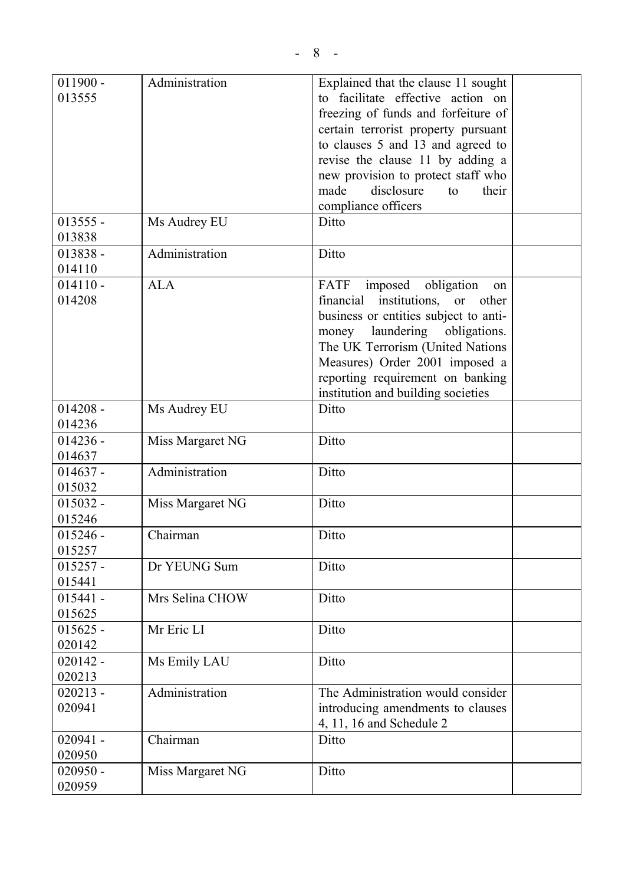| $011900 -$<br>013555 | Administration   | Explained that the clause 11 sought<br>to facilitate effective action on<br>freezing of funds and forfeiture of<br>certain terrorist property pursuant<br>to clauses 5 and 13 and agreed to<br>revise the clause 11 by adding a<br>new provision to protect staff who<br>made<br>disclosure<br>their<br>to<br>compliance officers |  |
|----------------------|------------------|-----------------------------------------------------------------------------------------------------------------------------------------------------------------------------------------------------------------------------------------------------------------------------------------------------------------------------------|--|
| $013555 -$<br>013838 | Ms Audrey EU     | Ditto                                                                                                                                                                                                                                                                                                                             |  |
| $013838 -$<br>014110 | Administration   | Ditto                                                                                                                                                                                                                                                                                                                             |  |
| $014110 -$<br>014208 | <b>ALA</b>       | imposed obligation<br>FATF<br>on<br>financial institutions, or other<br>business or entities subject to anti-<br>laundering<br>money<br>obligations.<br>The UK Terrorism (United Nations<br>Measures) Order 2001 imposed a<br>reporting requirement on banking<br>institution and building societies                              |  |
| $014208 -$<br>014236 | Ms Audrey EU     | Ditto                                                                                                                                                                                                                                                                                                                             |  |
| $014236 -$<br>014637 | Miss Margaret NG | Ditto                                                                                                                                                                                                                                                                                                                             |  |
| $014637 -$<br>015032 | Administration   | Ditto                                                                                                                                                                                                                                                                                                                             |  |
| $015032 -$<br>015246 | Miss Margaret NG | Ditto                                                                                                                                                                                                                                                                                                                             |  |
| $015246 -$<br>015257 | Chairman         | Ditto                                                                                                                                                                                                                                                                                                                             |  |
| $015257 -$<br>015441 | Dr YEUNG Sum     | Ditto                                                                                                                                                                                                                                                                                                                             |  |
| $015441 -$<br>015625 | Mrs Selina CHOW  | Ditto                                                                                                                                                                                                                                                                                                                             |  |
| $015625 -$<br>020142 | Mr Eric LI       | Ditto                                                                                                                                                                                                                                                                                                                             |  |
| $020142 -$<br>020213 | Ms Emily LAU     | Ditto                                                                                                                                                                                                                                                                                                                             |  |
| $020213 -$<br>020941 | Administration   | The Administration would consider<br>introducing amendments to clauses<br>4, 11, 16 and Schedule 2                                                                                                                                                                                                                                |  |
| $020941 -$<br>020950 | Chairman         | Ditto                                                                                                                                                                                                                                                                                                                             |  |
| $020950 -$<br>020959 | Miss Margaret NG | Ditto                                                                                                                                                                                                                                                                                                                             |  |